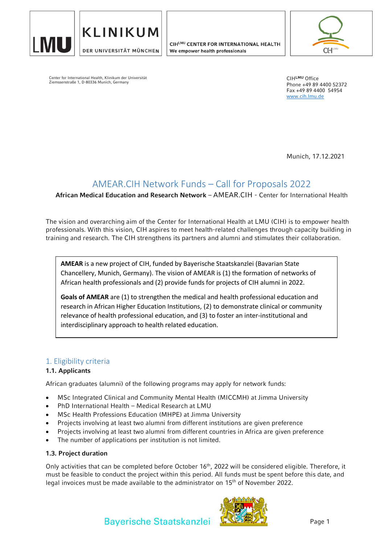

CIHLMU CENTER FOR INTERNATIONAL HEALTH We empower health professionals



Center for International Health, Klinikum der Universität Ziemssenstraße 1, D-80336 Munich, Germany

CIH**LMU** Office Phone +49 89 4400 52372 Fax +49 89 4400 54954 [www.cih.lmu.de](http://www.cih.lmu.de/)

Munich, 17.12.2021

# AMEAR.CIH Network Funds – Call for Proposals 2022

**African Medical Education and Research Network** – AMEAR.CIH - Center for International Health

The vision and overarching aim of the Center for International Health at LMU (CIH) is to empower health professionals. With this vision, CIH aspires to meet health-related challenges through capacity building in training and research. The CIH strengthens its partners and alumni and stimulates their collaboration.

**AMEAR** is a new project of CIH, funded by Bayerische Staatskanzlei (Bavarian State Chancellery, Munich, Germany). The vision of AMEAR is (1) the formation of networks of African health professionals and (2) provide funds for projects of CIH alumni in 2022.

**Goals of AMEAR** are (1) to strengthen the medical and health professional education and research in African Higher Education Institutions, (2) to demonstrate clinical or community relevance of health professional education, and (3) to foster an inter-institutional and interdisciplinary approach to health related education.

## 1. Eligibility criteria

## **1.1. Applicants**

African graduates (alumni) of the following programs may apply for network funds:

- MSc Integrated Clinical and Community Mental Health (MICCMH) at Jimma University
- PhD International Health Medical Research at LMU
- MSc Health Professions Education (MHPE) at Jimma University
- Projects involving at least two alumni from different institutions are given preference
- Projects involving at least two alumni from different countries in Africa are given preference
- The number of applications per institution is not limited.

### **1.3. Project duration**

Only activities that can be completed before October 16<sup>th</sup>, 2022 will be considered eligible. Therefore, it must be feasible to conduct the project within this period. All funds must be spent before this date, and legal invoices must be made available to the administrator on 15<sup>th</sup> of November 2022.



**Bayerische Staatskanzlei**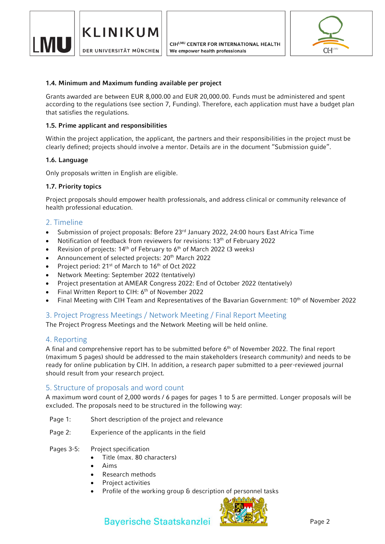

CIHLMU CENTER FOR INTERNATIONAL HEALTH We empower health professionals



### **1.4. Minimum and Maximum funding available per project**

Grants awarded are between EUR 8,000.00 and EUR 20,000.00. Funds must be administered and spent according to the regulations (see section 7, Funding). Therefore, each application must have a budget plan that satisfies the regulations.

### **1.5. Prime applicant and responsibilities**

Within the project application, the applicant, the partners and their responsibilities in the project must be clearly defined; projects should involve a mentor. Details are in the document "Submission guide".

### **1.6. Language**

Only proposals written in English are eligible.

### **1.7. Priority topics**

Project proposals should empower health professionals, and address clinical or community relevance of health professional education.

## 2. Timeline

- Submission of project proposals: Before 23rd January 2022, 24:00 hours East Africa Time
- Notification of feedback from reviewers for revisions: 13<sup>th</sup> of February 2022
- Revision of projects:  $14<sup>th</sup>$  of February to 6<sup>th</sup> of March 2022 (3 weeks)
- Announcement of selected projects:  $20<sup>th</sup>$  March 2022
- Project period:  $21^{st}$  of March to  $16^{th}$  of Oct 2022
- Network Meeting: September 2022 (tentatively)
- Project presentation at AMEAR Congress 2022: End of October 2022 (tentatively)
- $\bullet$  Final Written Report to CIH:  $6<sup>th</sup>$  of November 2022
- Final Meeting with CIH Team and Representatives of the Bavarian Government: 10<sup>th</sup> of November 2022

# 3. Project Progress Meetings / Network Meeting / Final Report Meeting

The Project Progress Meetings and the Network Meeting will be held online.

## 4. Reporting

A final and comprehensive report has to be submitted before  $6<sup>th</sup>$  of November 2022. The final report (maximum 5 pages) should be addressed to the main stakeholders (research community) and needs to be ready for online publication by CIH. In addition, a research paper submitted to a peer-reviewed journal should result from your research project.

## 5. Structure of proposals and word count

A maximum word count of 2,000 words / 6 pages for pages 1 to 5 are permitted. Longer proposals will be excluded. The proposals need to be structured in the following way:

- Page 1: Short description of the project and relevance
- Page 2: Experience of the applicants in the field
- Pages 3-5: Project specification
	- Title (max. 80 characters)
	- Aims
	- Research methods
	- Project activities
	- Profile of the working group & description of personnel tasks



# **Bayerische Staatskanzlei**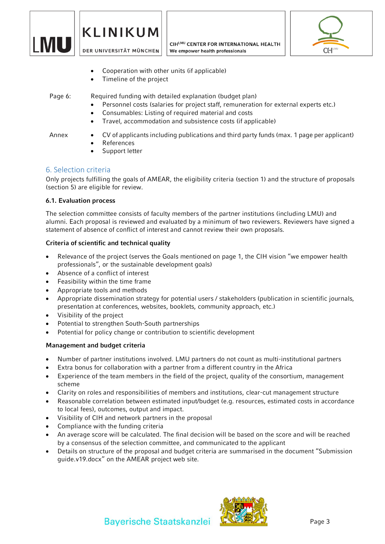

CIHLMU CENTER FOR INTERNATIONAL HEALTH We empower health professionals



- Cooperation with other units (if applicable)
- Timeline of the project

Page 6: Required funding with detailed explanation (budget plan)

- Personnel costs (salaries for project staff, remuneration for external experts etc.)
- Consumables: Listing of required material and costs
- Travel, accommodation and subsistence costs (if applicable)
- Annex CV of applicants including publications and third party funds (max. 1 page per applicant)
	- References
		- Support letter

## 6. Selection criteria

Only projects fulfilling the goals of AMEAR, the eligibility criteria (section 1) and the structure of proposals (section 5) are eligible for review.

### **6.1. Evaluation process**

The selection committee consists of faculty members of the partner institutions (including LMU) and alumni. Each proposal is reviewed and evaluated by a minimum of two reviewers. Reviewers have signed a statement of absence of conflict of interest and cannot review their own proposals.

### **Criteria of scientific and technical quality**

- Relevance of the project (serves the Goals mentioned on page 1, the CIH vision "we empower health professionals", or the sustainable development goals)
- Absence of a conflict of interest
- Feasibility within the time frame
- Appropriate tools and methods
- Appropriate dissemination strategy for potential users / stakeholders (publication in scientific journals, presentation at conferences, websites, booklets, community approach, etc.)
- Visibility of the project
- Potential to strengthen South-South partnerships
- Potential for policy change or contribution to scientific development

### **Management and budget criteria**

- Number of partner institutions involved. LMU partners do not count as multi-institutional partners
- Extra bonus for collaboration with a partner from a different country in the Africa
- Experience of the team members in the field of the project, quality of the consortium, management scheme
- Clarity on roles and responsibilities of members and institutions, clear-cut management structure
- Reasonable correlation between estimated input/budget (e.g. resources, estimated costs in accordance to local fees), outcomes, output and impact.
- Visibility of CIH and network partners in the proposal
- Compliance with the funding criteria
- An average score will be calculated. The final decision will be based on the score and will be reached by a consensus of the selection committee, and communicated to the applicant
- Details on structure of the proposal and budget criteria are summarised in the document "Submission guide.v19.docx" on the AMEAR project web site.